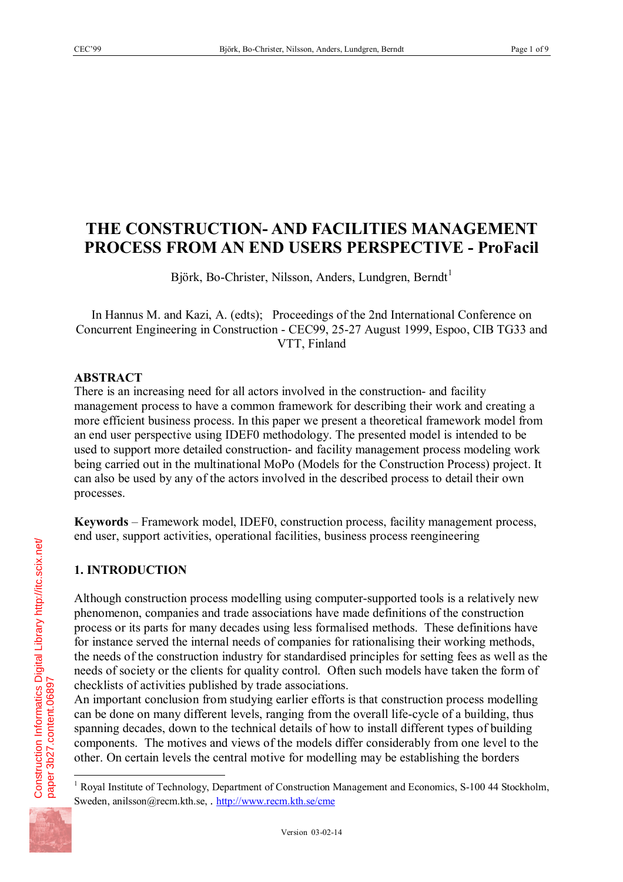# **THE CONSTRUCTION- AND FACILITIES MANAGEMENT PROCESS FROM AN END USERS PERSPECTIVE - ProFacil**

Björk, Bo-Christer, Nilsson, Anders, Lundgren, Berndt<sup>1</sup>

In Hannus M. and Kazi, A. (edts); Proceedings of the 2nd International Conference on Concurrent Engineering in Construction - CEC99, 25-27 August 1999, Espoo, CIB TG33 and VTT, Finland

### **ABSTRACT**

There is an increasing need for all actors involved in the construction- and facility management process to have a common framework for describing their work and creating a more efficient business process. In this paper we present a theoretical framework model from an end user perspective using IDEF0 methodology. The presented model is intended to be used to support more detailed construction- and facility management process modeling work being carried out in the multinational MoPo (Models for the Construction Process) project. It can also be used by any of the actors involved in the described process to detail their own processes.

**Keywords** – Framework model, IDEF0, construction process, facility management process, end user, support activities, operational facilities, business process reengineering

## **1. INTRODUCTION**

Although construction process modelling using computer-supported tools is a relatively new phenomenon, companies and trade associations have made definitions of the construction process or its parts for many decades using less formalised methods. These definitions have for instance served the internal needs of companies for rationalising their working methods, the needs of the construction industry for standardised principles for setting fees as well as the needs of society or the clients for quality control. Often such models have taken the form of checklists of activities published by trade associations.

An important conclusion from studying earlier efforts is that construction process modelling can be done on many different levels, ranging from the overall life-cycle of a building, thus spanning decades, down to the technical details of how to install different types of building components. The motives and views of the models differ considerably from one level to the other. On certain levels the central motive for modelling may be establishing the borders



 $\overline{a}$ <sup>1</sup> Royal Institute of Technology, Department of Construction Management and Economics, S-100 44 Stockholm, Sweden, anilsson@recm.kth.se, . http://www.recm.kth.se/cme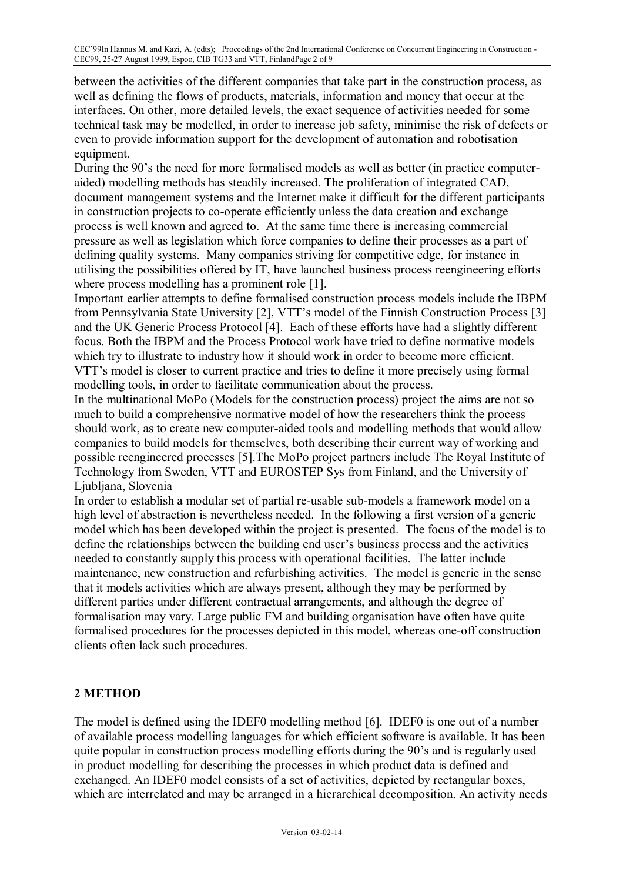between the activities of the different companies that take part in the construction process, as well as defining the flows of products, materials, information and money that occur at the interfaces. On other, more detailed levels, the exact sequence of activities needed for some technical task may be modelled, in order to increase job safety, minimise the risk of defects or even to provide information support for the development of automation and robotisation equipment.

During the 90's the need for more formalised models as well as better (in practice computeraided) modelling methods has steadily increased. The proliferation of integrated CAD, document management systems and the Internet make it difficult for the different participants in construction projects to co-operate efficiently unless the data creation and exchange process is well known and agreed to. At the same time there is increasing commercial pressure as well as legislation which force companies to define their processes as a part of defining quality systems. Many companies striving for competitive edge, for instance in utilising the possibilities offered by IT, have launched business process reengineering efforts where process modelling has a prominent role [1].

Important earlier attempts to define formalised construction process models include the IBPM from Pennsylvania State University [2], VTT's model of the Finnish Construction Process [3] and the UK Generic Process Protocol [4]. Each of these efforts have had a slightly different focus. Both the IBPM and the Process Protocol work have tried to define normative models which try to illustrate to industry how it should work in order to become more efficient. VTT's model is closer to current practice and tries to define it more precisely using formal modelling tools, in order to facilitate communication about the process.

In the multinational MoPo (Models for the construction process) project the aims are not so much to build a comprehensive normative model of how the researchers think the process should work, as to create new computer-aided tools and modelling methods that would allow companies to build models for themselves, both describing their current way of working and possible reengineered processes [5].The MoPo project partners include The Royal Institute of Technology from Sweden, VTT and EUROSTEP Sys from Finland, and the University of Ljubljana, Slovenia

In order to establish a modular set of partial re-usable sub-models a framework model on a high level of abstraction is nevertheless needed. In the following a first version of a generic model which has been developed within the project is presented. The focus of the model is to define the relationships between the building end user's business process and the activities needed to constantly supply this process with operational facilities. The latter include maintenance, new construction and refurbishing activities. The model is generic in the sense that it models activities which are always present, although they may be performed by different parties under different contractual arrangements, and although the degree of formalisation may vary. Large public FM and building organisation have often have quite formalised procedures for the processes depicted in this model, whereas one-off construction clients often lack such procedures.

## **2 METHOD**

The model is defined using the IDEF0 modelling method [6]. IDEF0 is one out of a number of available process modelling languages for which efficient software is available. It has been quite popular in construction process modelling efforts during the 90's and is regularly used in product modelling for describing the processes in which product data is defined and exchanged. An IDEF0 model consists of a set of activities, depicted by rectangular boxes, which are interrelated and may be arranged in a hierarchical decomposition. An activity needs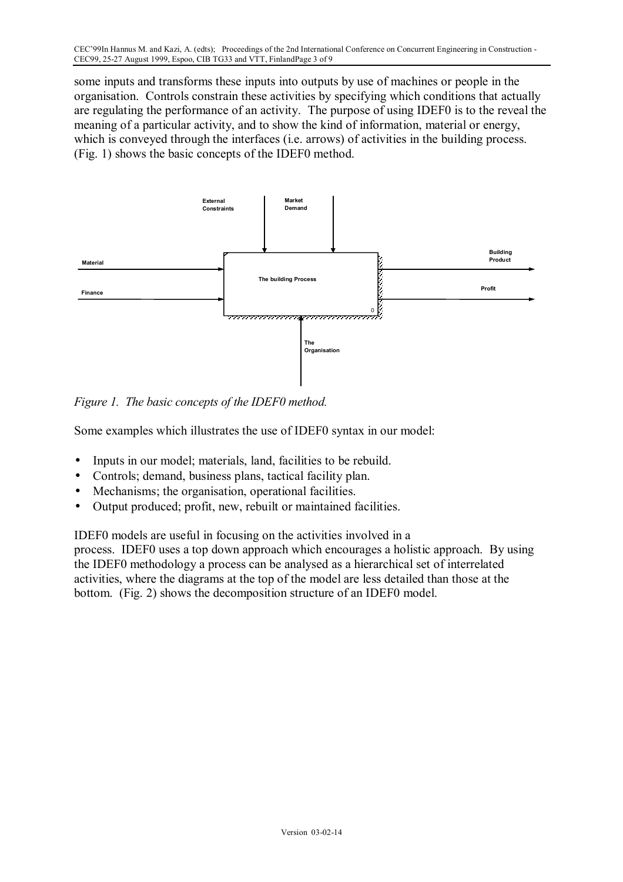some inputs and transforms these inputs into outputs by use of machines or people in the organisation. Controls constrain these activities by specifying which conditions that actually are regulating the performance of an activity. The purpose of using IDEF0 is to the reveal the meaning of a particular activity, and to show the kind of information, material or energy, which is conveyed through the interfaces (i.e. arrows) of activities in the building process. (Fig. 1) shows the basic concepts of the IDEF0 method.



*Figure 1. The basic concepts of the IDEF0 method.* 

Some examples which illustrates the use of IDEF0 syntax in our model:

- Inputs in our model; materials, land, facilities to be rebuild.
- Controls; demand, business plans, tactical facility plan.
- Mechanisms; the organisation, operational facilities.
- Output produced; profit, new, rebuilt or maintained facilities.

IDEF0 models are useful in focusing on the activities involved in a process. IDEF0 uses a top down approach which encourages a holistic approach. By using the IDEF0 methodology a process can be analysed as a hierarchical set of interrelated activities, where the diagrams at the top of the model are less detailed than those at the bottom. (Fig. 2) shows the decomposition structure of an IDEF0 model.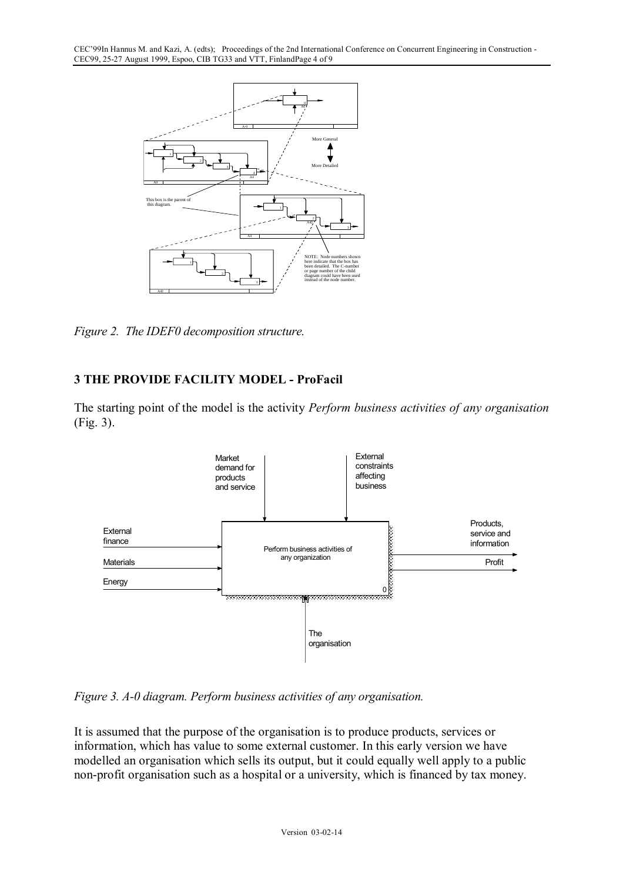

*Figure 2. The IDEF0 decomposition structure.* 

# **3 THE PROVIDE FACILITY MODEL - ProFacil**

The starting point of the model is the activity *Perform business activities of any organisation*  (Fig. 3).



*Figure 3. A-0 diagram. Perform business activities of any organisation.* 

It is assumed that the purpose of the organisation is to produce products, services or information, which has value to some external customer. In this early version we have modelled an organisation which sells its output, but it could equally well apply to a public non-profit organisation such as a hospital or a university, which is financed by tax money.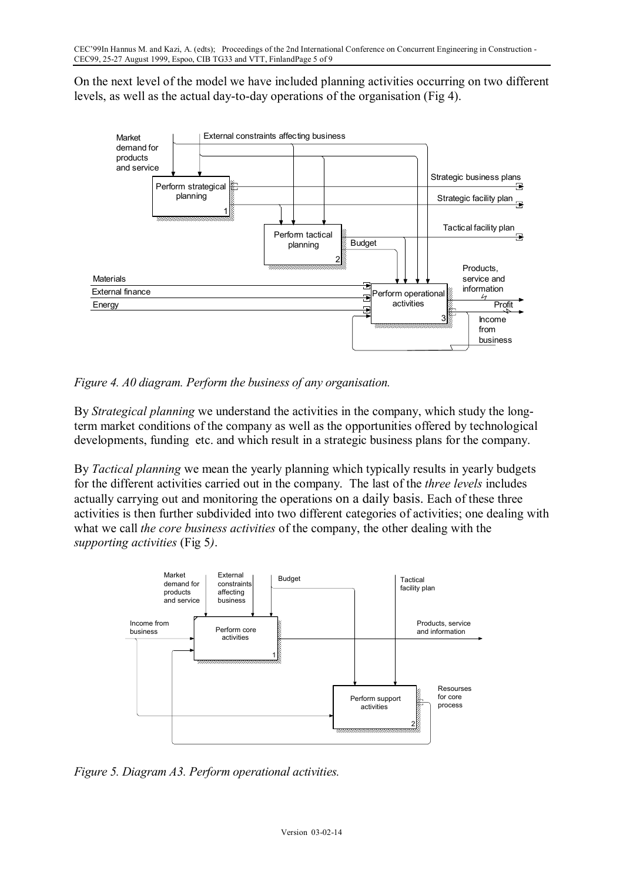On the next level of the model we have included planning activities occurring on two different levels, as well as the actual day-to-day operations of the organisation (Fig 4).



*Figure 4. A0 diagram. Perform the business of any organisation.* 

By *Strategical planning* we understand the activities in the company, which study the longterm market conditions of the company as well as the opportunities offered by technological developments, funding etc. and which result in a strategic business plans for the company.

By *Tactical planning* we mean the yearly planning which typically results in yearly budgets for the different activities carried out in the company. The last of the *three levels* includes actually carrying out and monitoring the operations on a daily basis. Each of these three activities is then further subdivided into two different categories of activities; one dealing with what we call *the core business activities* of the company, the other dealing with the *supporting activities* (Fig 5*)*.



*Figure 5. Diagram A3. Perform operational activities.*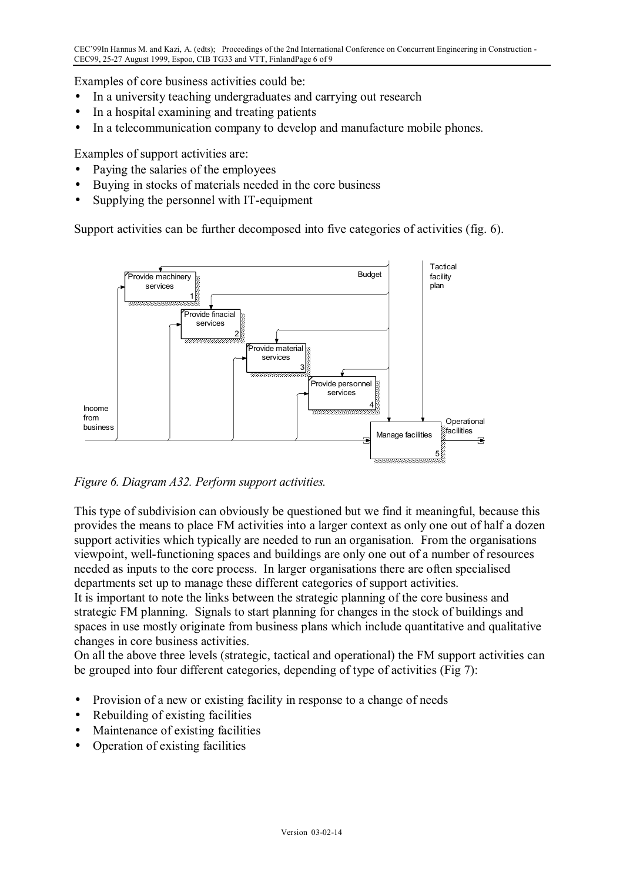Examples of core business activities could be:

- In a university teaching undergraduates and carrying out research
- In a hospital examining and treating patients
- In a telecommunication company to develop and manufacture mobile phones.

Examples of support activities are:

- Paying the salaries of the employees
- Buying in stocks of materials needed in the core business
- Supplying the personnel with IT-equipment

Support activities can be further decomposed into five categories of activities (fig. 6).



*Figure 6. Diagram A32. Perform support activities.* 

This type of subdivision can obviously be questioned but we find it meaningful, because this provides the means to place FM activities into a larger context as only one out of half a dozen support activities which typically are needed to run an organisation. From the organisations viewpoint, well-functioning spaces and buildings are only one out of a number of resources needed as inputs to the core process. In larger organisations there are often specialised departments set up to manage these different categories of support activities.

It is important to note the links between the strategic planning of the core business and strategic FM planning. Signals to start planning for changes in the stock of buildings and spaces in use mostly originate from business plans which include quantitative and qualitative changes in core business activities.

On all the above three levels (strategic, tactical and operational) the FM support activities can be grouped into four different categories, depending of type of activities (Fig 7):

- Provision of a new or existing facility in response to a change of needs
- Rebuilding of existing facilities
- Maintenance of existing facilities
- Operation of existing facilities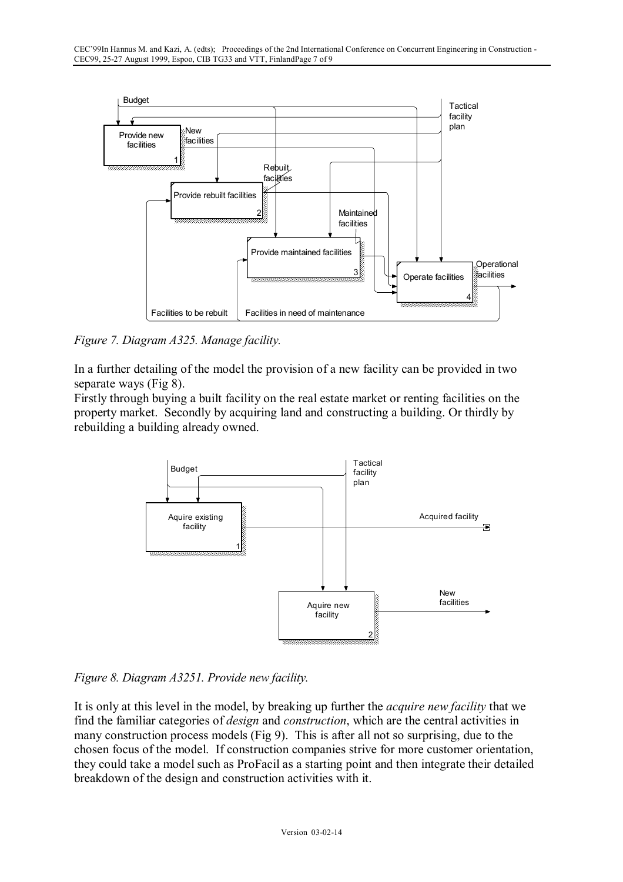

*Figure 7. Diagram A325. Manage facility.* 

In a further detailing of the model the provision of a new facility can be provided in two separate ways (Fig 8).

Firstly through buying a built facility on the real estate market or renting facilities on the property market. Secondly by acquiring land and constructing a building. Or thirdly by rebuilding a building already owned.



*Figure 8. Diagram A3251. Provide new facility.* 

It is only at this level in the model, by breaking up further the *acquire new facility* that we find the familiar categories of *design* and *construction*, which are the central activities in many construction process models (Fig 9). This is after all not so surprising, due to the chosen focus of the model. If construction companies strive for more customer orientation, they could take a model such as ProFacil as a starting point and then integrate their detailed breakdown of the design and construction activities with it.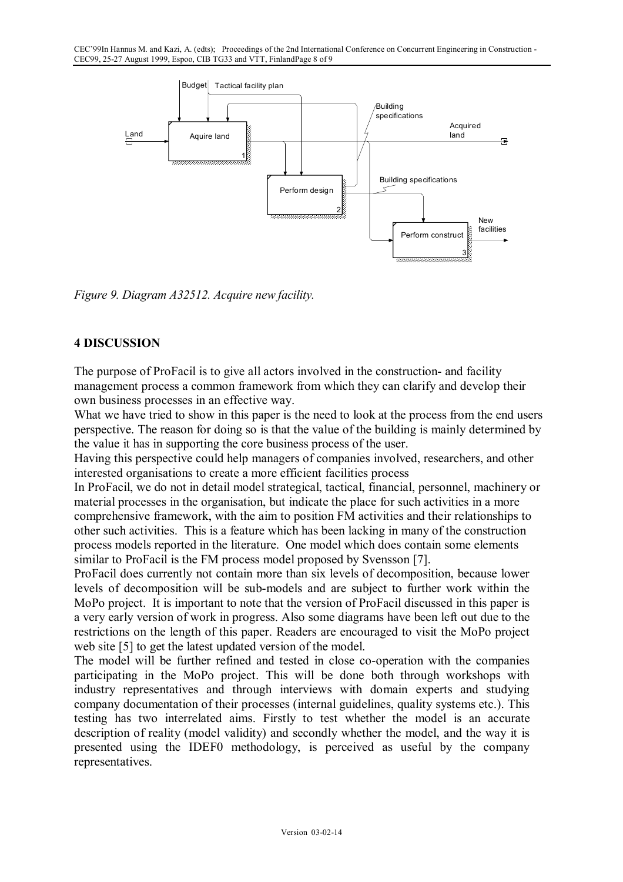

*Figure 9. Diagram A32512. Acquire new facility.* 

### **4 DISCUSSION**

The purpose of ProFacil is to give all actors involved in the construction- and facility management process a common framework from which they can clarify and develop their own business processes in an effective way.

What we have tried to show in this paper is the need to look at the process from the end users perspective. The reason for doing so is that the value of the building is mainly determined by the value it has in supporting the core business process of the user.

Having this perspective could help managers of companies involved, researchers, and other interested organisations to create a more efficient facilities process

In ProFacil, we do not in detail model strategical, tactical, financial, personnel, machinery or material processes in the organisation, but indicate the place for such activities in a more comprehensive framework, with the aim to position FM activities and their relationships to other such activities. This is a feature which has been lacking in many of the construction process models reported in the literature. One model which does contain some elements similar to ProFacil is the FM process model proposed by Svensson [7].

ProFacil does currently not contain more than six levels of decomposition, because lower levels of decomposition will be sub-models and are subject to further work within the MoPo project. It is important to note that the version of ProFacil discussed in this paper is a very early version of work in progress. Also some diagrams have been left out due to the restrictions on the length of this paper. Readers are encouraged to visit the MoPo project web site [5] to get the latest updated version of the model.

The model will be further refined and tested in close co-operation with the companies participating in the MoPo project. This will be done both through workshops with industry representatives and through interviews with domain experts and studying company documentation of their processes (internal guidelines, quality systems etc.). This testing has two interrelated aims. Firstly to test whether the model is an accurate description of reality (model validity) and secondly whether the model, and the way it is presented using the IDEF0 methodology, is perceived as useful by the company representatives.